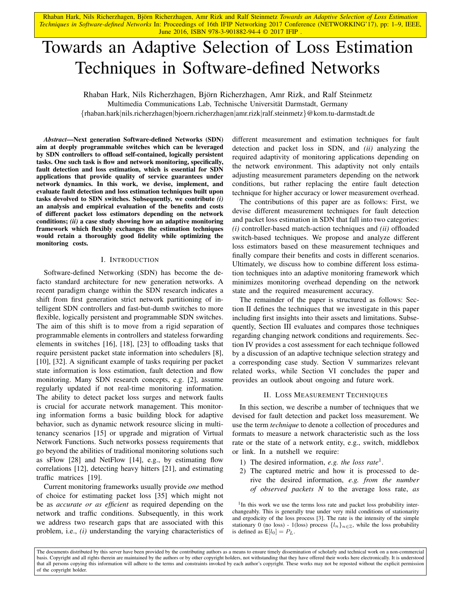# Towards an Adaptive Selection of Loss Estimation Techniques in Software-defined Networks

Rhaban Hark, Nils Richerzhagen, Bjorn Richerzhagen, Amr Rizk, and Ralf Steinmetz ¨ Multimedia Communications Lab, Technische Universitat Darmstadt, Germany ¨ {rhaban.hark|nils.richerzhagen|bjoern.richerzhagen|amr.rizk|ralf.steinmetz}@kom.tu-darmstadt.de

*Abstract*—Next generation Software-defined Networks (SDN) aim at deeply programmable switches which can be leveraged by SDN controllers to offload self-contained, logically persistent tasks. One such task is flow and network monitoring, specifically, fault detection and loss estimation, which is essential for SDN applications that provide quality of service guarantees under network dynamics. In this work, we devise, implement, and evaluate fault detection and loss estimation techniques built upon tasks devolved to SDN switches. Subsequently, we contribute *(i)* an analysis and empirical evaluation of the benefits and costs of different packet loss estimators depending on the network conditions; *(ii)* a case study showing how an adaptive monitoring framework which flexibly exchanges the estimation techniques would retain a thoroughly good fidelity while optimizing the monitoring costs.

#### I. INTRODUCTION

Software-defined Networking (SDN) has become the defacto standard architecture for new generation networks. A recent paradigm change within the SDN research indicates a shift from first generation strict network partitioning of intelligent SDN controllers and fast-but-dumb switches to more flexible, logically persistent and programmable SDN switches. The aim of this shift is to move from a rigid separation of programmable elements in controllers and stateless forwarding elements in switches [16], [18], [23] to offloading tasks that require persistent packet state information into schedulers [8], [10], [32]. A significant example of tasks requiring per packet state information is loss estimation, fault detection and flow monitoring. Many SDN research concepts, e.g. [2], assume regularly updated if not real-time monitoring information. The ability to detect packet loss surges and network faults is crucial for accurate network management. This monitoring information forms a basic building block for adaptive behavior, such as dynamic network resource slicing in multitenancy scenarios [15] or upgrade and migration of Virtual Network Functions. Such networks possess requirements that go beyond the abilities of traditional monitoring solutions such as sFlow [28] and NetFlow [14], e.g., by estimating flow correlations [12], detecting heavy hitters [21], and estimating traffic matrices [19].

Current monitoring frameworks usually provide *one* method of choice for estimating packet loss [35] which might not be as *accurate or as efficient* as required depending on the network and traffic conditions. Subsequently, in this work we address two research gaps that are associated with this problem, i.e., *(i)* understanding the varying characteristics of different measurement and estimation techniques for fault detection and packet loss in SDN, and *(ii)* analyzing the required adaptivity of monitoring applications depending on the network environment. This adaptivity not only entails adjusting measurement parameters depending on the network conditions, but rather replacing the entire fault detection technique for higher accuracy or lower measurement overhead.

The contributions of this paper are as follows: First, we devise different measurement techniques for fault detection and packet loss estimation in SDN that fall into two categories: *(i)* controller-based match-action techniques and *(ii)* offloaded switch-based techniques. We propose and analyze different loss estimators based on these measurement techniques and finally compare their benefits and costs in different scenarios. Ultimately, we discuss how to combine different loss estimation techniques into an adaptive monitoring framework which minimizes monitoring overhead depending on the network state and the required measurement accuracy.

The remainder of the paper is structured as follows: Section II defines the techniques that we investigate in this paper including first insights into their assets and limitations. Subsequently, Section III evaluates and compares those techniques regarding changing network conditions and requirements. Section IV provides a cost assessment for each technique followed by a discussion of an adaptive technique selection strategy and a corresponding case study. Section V summarizes relevant related works, while Section VI concludes the paper and provides an outlook about ongoing and future work.

#### II. LOSS MEASUREMENT TECHNIQUES

In this section, we describe a number of techniques that we devised for fault detection and packet loss measurement. We use the term *technique* to denote a collection of procedures and formats to measure a network characteristic such as the loss rate or the state of a network entity, e.g., switch, middlebox or link. In a nutshell we require:

- 1) The desired information, *e.g. the loss rate*<sup>1</sup> .
- 2) The captured metric and how it is processed to derive the desired information, *e.g. from the number of observed packets N* to the average loss rate, *as*

<sup>1</sup>In this work we use the terms loss rate and packet loss probability interchangeably. This is generally true under very mild conditions of stationarity and ergodicity of the loss process [3]. The rate is the intensity of the simple stationary 0 (no loss) - 1(loss) process  $\{l_n\}_{n\in\mathbb{Z}}$ , while the loss probability is defined as  $E[l_0] = P_L$ .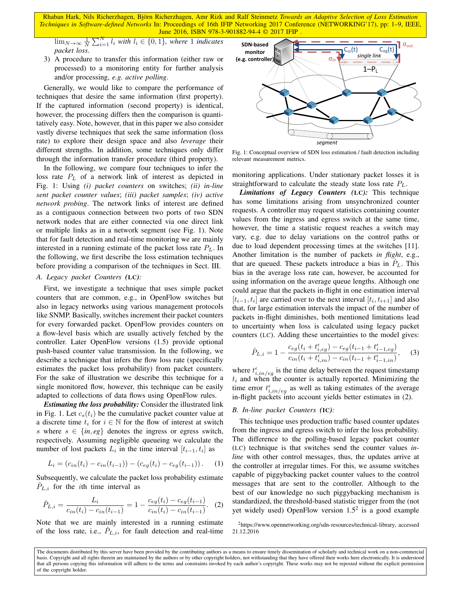$\lim_{N\to\infty}\frac{1}{N}\sum_{i=1}^{N}l_i$  with  $l_i\in\{0,1\}$ , where 1 *indicates packet loss*.

3) A procedure to transfer this information (either raw or processed) to a monitoring entity for further analysis and/or processing, *e.g. active polling*.

Generally, we would like to compare the performance of techniques that desire the same information (first property). If the captured information (second property) is identical, however, the processing differs then the comparison is quantitatively easy. Note, however, that in this paper we also consider vastly diverse techniques that seek the same information (loss rate) to explore their design space and also *leverage* their different strengths. In addition, some techniques only differ through the information transfer procedure (third property).

In the following, we compare four techniques to infer the loss rate  $P_L$  of a network link of interest as depicted in Fig. 1: Using *(i) packet counters* on switches; *(ii) in-line sent packet counter values*; *(iii) packet samples*; *(iv) active network probing*. The network links of interest are defined as a contiguous connection between two ports of two SDN network nodes that are either connected via one direct link or multiple links as in a network segment (see Fig. 1). Note that for fault detection and real-time monitoring we are mainly interested in a running estimate of the packet loss rate  $P_L$ . In the following, we first describe the loss estimation techniques before providing a comparison of the techniques in Sect. III.

# *A. Legacy packet Counters (*LC*):*

First, we investigate a technique that uses simple packet counters that are common, e.g., in OpenFlow switches but also in legacy networks using various management protocols like SNMP. Basically, switches increment their packet counters for every forwarded packet. OpenFlow provides counters on a flow-level basis which are usually actively fetched by the controller. Later OpenFlow versions (1.5) provide optional push-based counter value transmission. In the following, we describe a technique that infers the flow loss rate (specifically estimates the packet loss probability) from packet counters. For the sake of illustration we describe this technique for a single monitored flow, however, this technique can be easily adapted to collections of data flows using OpenFlow rules.

*Estimating the loss probability:* Consider the illustrated link in Fig. 1. Let  $c_s(t_i)$  be the cumulative packet counter value at a discrete time  $t_i$  for  $i \in \mathbb{N}$  for the flow of interest at switch s where  $s \in \{in, eg\}$  denotes the ingress or egress switch, respectively. Assuming negligible queueing we calculate the number of lost packets  $L_i$  in the time interval  $[t_{i-1}, t_i]$  as

$$
L_i = (c_{in}(t_i) - c_{in}(t_{i-1})) - (c_{eg}(t_i) - c_{eg}(t_{i-1})).
$$
 (1)

Subsequently, we calculate the packet loss probability estimate  $P_{L,i}$  for the *i*th time interval as

$$
\hat{P}_{L,i} = \frac{L_i}{c_{in}(t_i) - c_{in}(t_{i-1})} = 1 - \frac{c_{eg}(t_i) - c_{eg}(t_{i-1})}{c_{in}(t_i) - c_{in}(t_{i-1})}.
$$
 (2)

Note that we are mainly interested in a running estimate of the loss rate, i.e.,  $\hat{P}_{L,i}$ , for fault detection and real-time



Fig. 1: Conceptual overview of SDN loss estimation / fault detection including relevant measurement metrics.

monitoring applications. Under stationary packet losses it is straightforward to calculate the steady state loss rate  $P_L$ .

*Limitations of Legacy Counters (*LC*):* This technique has some limitations arising from unsynchronized counter requests. A controller may request statistics containing counter values from the ingress and egress switch at the same time, however, the time a statistic request reaches a switch may vary, e.g. due to delay variations on the control paths or due to load dependent processing times at the switches [11]. Another limitation is the number of packets *in flight*, e.g., that are queued. These packets introduce a bias in  $P<sub>L</sub>$ . This bias in the average loss rate can, however, be accounted for using information on the average queue lengths. Although one could argue that the packets in-flight in one estimation interval  $[t_{i-1}, t_i]$  are carried over to the next interval  $[t_i, t_{i+1}]$  and also that, for large estimation intervals the impact of the number of packets in-flight diminishes, both mentioned limitations lead to uncertainty when loss is calculated using legacy packet counters (LC). Adding these uncertainties to the model gives:

$$
\hat{P}_{L,i} = 1 - \frac{c_{eg}(t_i + t_{i,eg}^{\epsilon}) - c_{eg}(t_{i-1} + t_{i-1,eg}^{\epsilon})}{c_{in}(t_i + t_{i,in}^{\epsilon}) - c_{in}(t_{i-1} + t_{i-1,in}^{\epsilon})},
$$
(3)

where  $t_{i,in/eg}^{\epsilon}$  is the time delay between the request timestamp  $t_i$  and when the counter is actually reported. Minimizing the time error  $t_{i,in/eg}^{\epsilon}$  as well as taking estimates of the average in-flight packets into account yields better estimates in (2).

## *B. In-line packet Counters (*IC*):*

This technique uses production traffic based counter updates from the ingress and egress switch to infer the loss probability. The difference to the polling-based legacy packet counter (LC) technique is that switches send the counter values *inline* with other control messages, thus, the updates arrive at the controller at irregular times. For this, we assume switches capable of piggybacking packet counter values to the control messages that are sent to the controller. Although to the best of our knowledge no such piggybacking mechanism is standardized, the threshold-based statistic trigger from the (not yet widely used) OpenFlow version  $1.5<sup>2</sup>$  is a good example

<sup>2</sup>https://www.opennetworking.org/sdn-resources/technical-library, accessed 21.12.2016

The documents distributed by this server have been provided by the contributing authors as a means to ensure timely dissemination of scholarly and technical work on a non-commercial basis. Copyright and all rights therein are maintained by the authors or by other copyright holders, not withstanding that they have offered their works here electronically. It is understood that all persons copying this information will adhere to the terms and constraints invoked by each author's copyright. These works may not be reposted without the explicit permission of the copyright holder.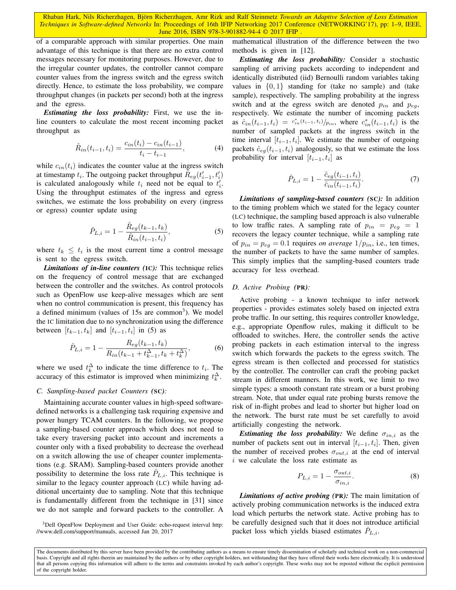of a comparable approach with similar properties. One main advantage of this technique is that there are no extra control messages necessary for monitoring purposes. However, due to the irregular counter updates, the controller cannot compare counter values from the ingress switch and the egress switch directly. Hence, to estimate the loss probability, we compare throughput changes (in packets per second) both at the ingress and the egress.

*Estimating the loss probability:* First, we use the inline counters to calculate the most recent incoming packet throughput as

$$
\hat{R}_{in}(t_{i-1}, t_i) = \frac{c_{in}(t_i) - c_{in}(t_{i-1})}{t_i - t_{i-1}},
$$
\n(4)

while  $c_{in}(t_i)$  indicates the counter value at the ingress switch at timestamp  $t_i$ . The outgoing packet throughput  $\tilde{R}_{eg}(t'_{i-1}, t'_i)$ is calculated analogously while  $t_i$  need not be equal to  $t'_i$ . Using the throughput estimates of the ingress and egress switches, we estimate the loss probability on every (ingress or egress) counter update using

$$
\hat{P}_{L,i} = 1 - \frac{\hat{R}_{eg}(t_{k-1}, t_k)}{\hat{R}_{in}(t_{i-1}, t_i)},
$$
\n(5)

where  $t_k \leq t_i$  is the most current time a control message is sent to the egress switch.

*Limitations of in-line counters (*IC*):* This technique relies on the frequency of control message that are exchanged between the controller and the switches. As control protocols such as OpenFlow use keep-alive messages which are sent when no control communication is present, this frequency has a defined minimum (values of  $15s$  are common<sup>3</sup>). We model the IC limitation due to no synchronization using the difference between  $[t_{k-1}, t_k]$  and  $[t_{i-1}, t_i]$  in (5) as

$$
\hat{P}_{L,i} = 1 - \frac{R_{eg}(t_{k-1}, t_k)}{R_{in}(t_{k-1} + t_{k-1}^{\Delta}, t_k + t_k^{\Delta})},
$$
(6)

where we used  $t_k^{\Delta}$  to indicate the time difference to  $t_i$ . The accuracy of this estimator is improved when minimizing  $t_k^{\Delta}$ .

#### *C. Sampling-based packet Counters (*SC*):*

Maintaining accurate counter values in high-speed softwaredefined networks is a challenging task requiring expensive and power hungry TCAM counters. In the following, we propose a sampling-based counter approach which does not need to take every traversing packet into account and increments a counter only with a fixed probability to decrease the overhead on a switch allowing the use of cheaper counter implementations (e.g. SRAM). Sampling-based counters provide another possibility to determine the loss rate  $P_{L,i}$ . This technique is similar to the legacy counter approach (LC) while having additional uncertainty due to sampling. Note that this technique is fundamentally different from the technique in [31] since we do not sample and forward packets to the controller. A

<sup>3</sup>Dell OpenFlow Deployment and User Guide: echo-request interval http: //www.dell.com/support/manuals, accessed Jan 20, 2017

mathematical illustration of the difference between the two methods is given in [12].

*Estimating the loss probability:* Consider a stochastic sampling of arriving packets according to independent and identically distributed (iid) Bernoulli random variables taking values in  $\{0, 1\}$  standing for (take no sample) and (take sample), respectively. The sampling probability at the ingress switch and at the egress switch are denoted  $p_{in}$  and  $p_{eq}$ , respectively. We estimate the number of incoming packets as  $\hat{c}_{in}(t_{i-1}, t_i) = c_{in}^*(t_{i-1}, t_i)/p_{in}$ , where  $c_{in}^*(t_{i-1}, t_i)$  is the number of sampled packets at the ingress switch in the time interval  $[t_{i-1}, t_i]$ . We estimate the number of outgoing packets  $\hat{c}_{eq}(t_{i-1}, t_i)$  analogously, so that we estimate the loss probability for interval  $[t_{i-1}, t_i]$  as

$$
\hat{P}_{L,i} = 1 - \frac{\hat{c}_{eg}(t_{i-1}, t_i)}{\hat{c}_{in}(t_{i-1}, t_i)}.
$$
\n(7)

*Limitations of sampling-based counters (*SC*):* In addition to the timing problem which we stated for the legacy counter (LC) technique, the sampling based approach is also vulnerable to low traffic rates. A sampling rate of  $p_{in} = p_{eg} = 1$ recovers the legacy counter technique, while a sampling rate of  $p_{in} = p_{eq} = 0.1$  requires *on average*  $1/p_{in}$ , i.e., ten times, the number of packets to have the same number of samples. This simply implies that the sampling-based counters trade accuracy for less overhead.

## *D. Active Probing (*PR*):*

Active probing - a known technique to infer network properties - provides estimates solely based on injected extra probe traffic. In our setting, this requires controller knowledge, e.g., appropriate Openflow rules, making it difficult to be offloaded to switches. Here, the controller sends the active probing packets in each estimation interval to the ingress switch which forwards the packets to the egress switch. The egress stream is then collected and processed for statistics by the controller. The controller can craft the probing packet stream in different manners. In this work, we limit to two simple types: a smooth constant rate stream or a burst probing stream. Note, that under equal rate probing bursts remove the risk of in-flight probes and lead to shorter but higher load on the network. The burst rate must be set carefully to avoid artificially congesting the network.

*Estimating the loss probability:* We define  $\sigma_{in,i}$  as the number of packets sent out in interval  $[t_{i-1}, t_i]$ . Then, given the number of received probes  $\sigma_{out,i}$  at the end of interval i we calculate the loss rate estimate as

$$
P_{L,i} = 1 - \frac{\sigma_{out,i}}{\sigma_{in,i}}.\tag{8}
$$

*Limitations of active probing (*PR*):* The main limitation of actively probing communication networks is the induced extra load which perturbs the network state. Active probing has to be carefully designed such that it does not introduce artificial packet loss which yields biased estimates  $\hat{P}_{L,i}$ .

The documents distributed by this server have been provided by the contributing authors as a means to ensure timely dissemination of scholarly and technical work on a non-commercial basis. Copyright and all rights therein are maintained by the authors or by other copyright holders, not withstanding that they have offered their works here electronically. It is understood that all persons copying this information will adhere to the terms and constraints invoked by each author's copyright. These works may not be reposted without the explicit permission of the copyright holder.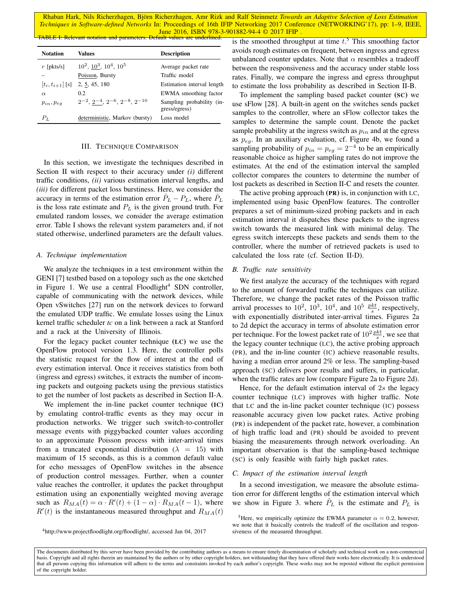Rhaban Hark, Nils Richerzhagen, Björn Richerzhagen, Amr Rizk and Ralf Steinmetz Towards an Adaptive Selection of Loss Estimation *Techniques in Software-defined Networks* In: Proceedings of 16th IFIP Networking 2017 Conference (NETWORKING'17), pp: 1–9, IEEE, June 2016, ISBN 978-3-901882-94-4 © 2017 IFIP TABLE I: Relevant notation and parameters. Default values are underlined.

| <b>Notation</b>      | Values                                    | <b>Description</b>                         |
|----------------------|-------------------------------------------|--------------------------------------------|
| $r$ [pkts/s]         | $10^2$ , $10^3$ , $10^4$ , $10^5$         | Average packet rate                        |
|                      | Poisson, Bursty                           | Traffic model                              |
| $[t_i, t_{i+1}]$ [s] | 2, 5, 45, 180                             | Estimation interval length                 |
| $\alpha$             | 0.2                                       | EWMA smoothing factor                      |
| $p_{in}, p_{eq}$     | $2^{-2}, 2^{-4}, 2^{-6}, 2^{-8}, 2^{-10}$ | Sampling probability (in-<br>gress/egress) |
| $P_L$                | deterministic, Markov (bursty)            | Loss model                                 |

# III. TECHNIQUE COMPARISON

In this section, we investigate the techniques described in Section II with respect to their accuracy under *(i)* different traffic conditions, *(ii)* various estimation interval lengths, and *(iii)* for different packet loss burstiness. Here, we consider the accuracy in terms of the estimation error  $\hat{P}_L - P_L$ , where  $\hat{P}_L$ is the loss rate estimate and  $P<sub>L</sub>$  is the given ground truth. For emulated random losses, we consider the average estimation error. Table I shows the relevant system parameters and, if not stated otherwise, underlined parameters are the default values.

#### *A. Technique implementation*

We analyze the techniques in a test environment within the GENI [7] testbed based on a topology such as the one sketched in Figure 1. We use a central Floodlight<sup>4</sup> SDN controller, capable of communicating with the network devices, while Open vSwitches [27] run on the network devices to forward the emulated UDP traffic. We emulate losses using the Linux kernel traffic scheduler *tc* on a link between a rack at Stanford and a rack at the University of Illinois.

For the legacy packet counter technique (LC) we use the OpenFlow protocol version 1.3. Here, the controller polls the statistic request for the flow of interest at the end of every estimation interval. Once it receives statistics from both (ingress and egress) switches, it extracts the number of incoming packets and outgoing packets using the previous statistics to get the number of lost packets as described in Section II-A.

We implement the in-line packet counter technique (IC) by emulating control-traffic events as they may occur in production networks. We trigger such switch-to-controller message events with piggybacked counter values according to an approximate Poisson process with inter-arrival times from a truncated exponential distribution ( $\lambda = 15$ ) with maximum of 15 seconds, as this is a common default value for echo messages of OpenFlow switches in the absence of production control messages. Further, when a counter value reaches the controller, it updates the packet throughput estimation using an exponentially weighted moving average such as  $R_{MA}(t) = \alpha \cdot R'(t) + (1 - \alpha) \cdot R_{MA}(t - 1)$ , where  $R'(t)$  is the instantaneous measured throughput and  $R_{MA}(t)$ 

is the smoothed throughput at time  $t<sup>5</sup>$ . This smoothing factor avoids rough estimates on frequent, between ingress and egress unbalanced counter updates. Note that  $\alpha$  resembles a tradeoff between the responsiveness and the accuracy under stable loss rates. Finally, we compare the ingress and egress throughput to estimate the loss probability as described in Section II-B.

To implement the sampling based packet counter (SC) we use sFlow [28]. A built-in agent on the switches sends packet samples to the controller, where an sFlow collector takes the samples to determine the sample count. Denote the packet sample probability at the ingress switch as  $p_{in}$  and at the egress as  $p_{eq}$ . In an auxiliary evaluation, cf. Figure 4b, we found a sampling probability of  $p_{in} = p_{eg} = 2^{-4}$  to be an empirically reasonable choice as higher sampling rates do not improve the estimates. At the end of the estimation interval the sampled collector compares the counters to determine the number of lost packets as described in Section II-C and resets the counter.

The active probing approach (PR) is, in conjunction with LC, implemented using basic OpenFlow features. The controller prepares a set of minimum-sized probing packets and in each estimation interval it dispatches these packets to the ingress switch towards the measured link with minimal delay. The egress switch intercepts these packets and sends them to the controller, where the number of retrieved packets is used to calculated the loss rate (cf. Section II-D).

#### *B. Traffic rate sensitivity*

We first analyze the accuracy of the techniques with regard to the amount of forwarded traffic the techniques can utilize. Therefore, we change the packet rates of the Poisson traffic arrival processes to  $10^2$ ,  $10^3$ ,  $10^4$ , and  $10^5 \frac{pkt}{s}$ , respectively, with exponentially distributed inter-arrival times. Figures 2a to 2d depict the accuracy in terms of absolute estimation error per technique. For the lowest packet rate of  $10^2 \frac{pkt}{s}$ , we see that the legacy counter technique (LC), the active probing approach (PR), and the in-line counter (IC) achieve reasonable results, having a median error around 2% or less. The sampling-based approach (SC) delivers poor results and suffers, in particular, when the traffic rates are low (compare Figure 2a to Figure 2d).

Hence, for the default estimation interval of  $2s$  the legacy counter technique (LC) improves with higher traffic. Note that LC and the in-line packet counter technique (IC) possess reasonable accuracy given low packet rates. Active probing (PR) is independent of the packet rate, however, a combination of high traffic load and (PR) should be avoided to prevent biasing the measurements through network overloading. An important observation is that the sampling-based technique (SC) is only feasible with fairly high packet rates.

#### *C. Impact of the estimation interval length*

In a second investigation, we measure the absolute estimation error for different lengths of the estimation interval which we show in Figure 3. where  $\hat{P}_L$  is the estimate and  $P_L$  is

<sup>5</sup>Here, we empirically optimize the EWMA parameter  $\alpha = 0.2$ , however, we note that it basically controls the tradeoff of the oscillation and responsiveness of the measured throughput.

<sup>4</sup>http://www.projectfloodlight.org/floodlight/, accessed Jan 04, 2017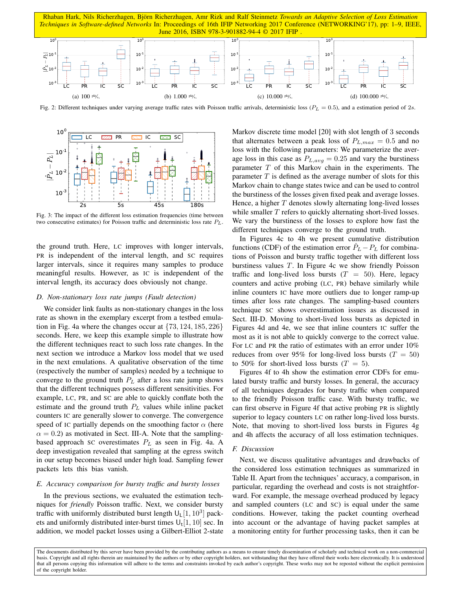

Fig. 2: Different techniques under varying average traffic rates with Poisson traffic arrivals, deterministic loss ( $P_L = 0.5$ ), and a estimation period of 2s.



Fig. 3: The impact of the different loss estimation frequencies (time between two consecutive estimates) for Poisson traffic and deterministic loss rate  $P_L$ .

the ground truth. Here, LC improves with longer intervals, PR is independent of the interval length, and SC requires larger intervals, since it requires many samples to produce meaningful results. However, as IC is independent of the interval length, its accuracy does obviously not change.

### *D. Non-stationary loss rate jumps (Fault detection)*

of the copyright holder. LC PR IC SC 10 We consider link faults as non-stationary changes in the loss rate as shown in the exemplary excerpt from a testbed emulation in Fig. 4a where the changes occur at  $\{73, 124, 185, 226\}$ seconds. Here, we keep this example simple to illustrate how the different techniques react to such loss rate changes. In the next section we introduce a Markov loss model that we used in the next emulations. A qualitative observation of the time (respectively the number of samples) needed by a technique to converge to the ground truth  $P_L$  after a loss rate jump shows that the different techniques possess different sensitivities. For example, LC, PR, and SC are able to quickly conflate both the estimate and the ground truth  $P_L$  values while inline packet counters IC are generally slower to converge. The convergence speed of IC partially depends on the smoothing factor  $\alpha$  (here  $\alpha = 0.2$ ) as motivated in Sect. III-A. Note that the samplingbased approach SC overestimates  $P_L$  as seen in Fig. 4a. A deep investigation revealed that sampling at the egress switch in our setup becomes biased under high load. Sampling fewer packets lets this bias vanish.

# *E. Accuracy comparison for bursty traffic and bursty losses*

In the previous sections, we evaluated the estimation techniques for *friendly* Poisson traffic. Next, we consider bursty traffic with uniformly distributed burst length  $U_L[1, 10^3]$  packets and uniformly distributed inter-burst times  $U_t[1, 10]$  sec. In addition, we model packet losses using a Gilbert-Elliot 2-state Markov discrete time model [20] with slot length of 3 seconds that alternates between a peak loss of  $P_{L,max} = 0.5$  and no loss with the following parameters: We parameterize the average loss in this case as  $P_{L,avg} = 0.25$  and vary the burstiness parameter  $T$  of this Markov chain in the experiments. The parameter  $T$  is defined as the average number of slots for this Markov chain to change states twice and can be used to control the burstiness of the losses given fixed peak and average losses. Hence, a higher  $T$  denotes slowly alternating long-lived losses while smaller  $T$  refers to quickly alternating short-lived losses. We vary the burstiness of the losses to explore how fast the different techniques converge to the ground truth.

In Figures 4c to 4h we present cumulative distribution functions (CDF) of the estimation error  $\ddot{P}_L - P_L$  for combinations of Poisson and bursty traffic together with different loss burstiness values T. In Figure 4c we show friendly Poisson traffic and long-lived loss bursts  $(T = 50)$ . Here, legacy counters and active probing (LC, PR) behave similarly while inline counters IC have more outliers due to longer ramp-up times after loss rate changes. The sampling-based counters technique SC shows overestimation issues as discussed in Sect. III-D. Moving to short-lived loss bursts as depicted in Figures 4d and 4e, we see that inline counters IC suffer the most as it is not able to quickly converge to the correct value. For LC and PR the ratio of estimates with an error under 10% reduces from over 95% for long-lived loss bursts ( $T = 50$ ) to 50% for short-lived loss bursts  $(T = 5)$ .

Figures 4f to 4h show the estimation error CDFs for emulated bursty traffic and bursty losses. In general, the accuracy of all techniques degrades for bursty traffic when compared to the friendly Poisson traffic case. With bursty traffic, we can first observe in Figure 4f that active probing PR is slightly superior to legacy counters LC on rather long-lived loss bursts. Note, that moving to short-lived loss bursts in Figures 4g and 4h affects the accuracy of all loss estimation techniques.

## *F. Discussion*

Next, we discuss qualitative advantages and drawbacks of the considered loss estimation techniques as summarized in Table II. Apart from the techniques' accuracy, a comparison, in particular, regarding the overhead and costs is not straightforward. For example, the message overhead produced by legacy and sampled counters (LC and SC) is equal under the same conditions. However, taking the packet counting overhead into account or the advantage of having packet samples at a monitoring entity for further processing tasks, then it can be

The documents distributed by this server have been provided by the contributing authors as a means to ensure timely dissemination of scholarly and technical work on a non-commercial basis. Copyright and all rights therein are maintained by the authors or by other copyright holders, not withstanding that they have offered their works here electronically. It is understood that all persons copying this information will adhere to the terms and constraints invoked by each author's copyright. These works may not be reposted without the explicit permission of the copyright holder.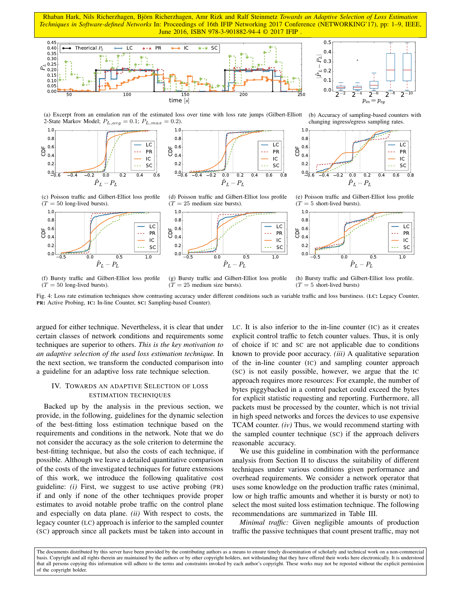

 $0.0 - 5$ 0.2  $0<sub>4</sub>$ 0.6  $0.8$ 

ā



(a) Excerpt from an emulation run of the estimated loss over time with loss rate jumps (Gilbert-Elliott 2-State Markov Model;  $P_{L,avg} = 0.1$ ;  $P_{L,max} = 0.2$ ).





(b) Accuracy of sampling-based counters with changing ingress/egress sampling rates.



(c) Poisson traffic and Gilbert-Elliot loss profile  $(T = 50$  long-lived bursts).



(d) Poisson traffic and Gilbert-Elliot loss profile  $(T = 25$  medium size bursts).

1.0





(f) Bursty traffic and Gilbert-Elliot loss profile  $(T = 50$  long-lived bursts).

 ${\hat P}_L - P_L$ (g) Bursty traffic and Gilbert-Elliot loss profile

 $(T = 25$  medium size bursts).

(h) Bursty traffic and Gilbert-Elliot loss profile.  $(T = 5$  short-lived bursts)

Fig. 4: Loss rate estimation techniques show contrasting accuracy under different conditions such as variable traffic and loss burstiness. (LC: Legacy Counter, PR: Active Probing, IC: In-line Counter, SC: Sampling-based Counter).

argued for either technique. Nevertheless, it is clear that under certain classes of network conditions and requirements some techniques are superior to others. *This is the key motivation to an adaptive selection of the used loss estimation technique.* In the next section, we transform the conducted comparison into a guideline for an adaptive loss rate technique selection.

# IV. TOWARDS AN ADAPTIVE SELECTION OF LOSS ESTIMATION TECHNIQUES

Backed up by the analysis in the previous section, we provide, in the following, guidelines for the dynamic selection of the best-fitting loss estimation technique based on the requirements and conditions in the network. Note that we do not consider the accuracy as the sole criterion to determine the best-fitting technique, but also the costs of each technique, if possible. Although we leave a detailed quantitative comparison of the costs of the investigated techniques for future extensions of this work, we introduce the following qualitative cost guideline: *(i)* First, we suggest to use active probing (PR) if and only if none of the other techniques provide proper estimates to avoid notable probe traffic on the control plane and especially on data plane. *(ii)* With respect to costs, the legacy counter (LC) approach is inferior to the sampled counter (SC) approach since all packets must be taken into account in

LC. It is also inferior to the in-line counter (IC) as it creates explicit control traffic to fetch counter values. Thus, it is only of choice if IC and SC are not applicable due to conditions known to provide poor accuracy. *(iii)* A qualitative separation of the in-line counter (IC) and sampling counter approach (SC) is not easily possible, however, we argue that the IC approach requires more resources: For example, the number of bytes piggybacked in a control packet could exceed the bytes for explicit statistic requesting and reporting. Furthermore, all packets must be processed by the counter, which is not trivial in high speed networks and forces the devices to use expensive TCAM counter. *(iv)* Thus, we would recommend starting with the sampled counter technique (SC) if the approach delivers reasonable accuracy.

We use this guideline in combination with the performance analysis from Section II to discuss the suitability of different techniques under various conditions given performance and overhead requirements. We consider a network operator that uses some knowledge on the production traffic rates (minimal, low or high traffic amounts and whether it is bursty or not) to select the most suited loss estimation technique. The following recommendations are summarized in Table III.

*Minimal traffic:* Given negligible amounts of production traffic the passive techniques that count present traffic, may not

The documents distributed by this server have been provided by the contributing authors as a means to ensure timely dissemination of scholarly and technical work on a non-commercial basis. Copyright and all rights therein are maintained by the authors or by other copyright holders, not withstanding that they have offered their works here electronically. It is understood that all persons copying this information will adhere to the terms and constraints invoked by each author's copyright. These works may not be reposted without the explicit permission of the copyright holder.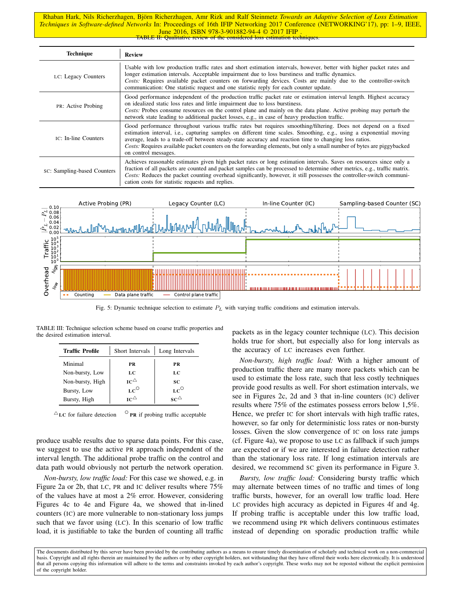Rhaban Hark, Nils Richerzhagen, Björn Richerzhagen, Amr Rizk and Ralf Steinmetz Towards an Adaptive Selection of Loss Estimation *Techniques in Software-defined Networks* In: Proceedings of 16th IFIP Networking 2017 Conference (NETWORKING'17), pp: 1–9, IEEE, June 2016, ISBN 978-3-901882-94-4 © 2017 IFIP TABLE II: Qualitative review of the considered loss estimation techniques.

| <b>Technique</b>            | <b>Review</b>                                                                                                                                                                                                                                                                                                                                                                                                                                                                                    |  |
|-----------------------------|--------------------------------------------------------------------------------------------------------------------------------------------------------------------------------------------------------------------------------------------------------------------------------------------------------------------------------------------------------------------------------------------------------------------------------------------------------------------------------------------------|--|
| LC: Legacy Counters         | Usable with low production traffic rates and short estimation intervals, however, better with higher packet rates and<br>longer estimation intervals. Acceptable impairment due to loss burstiness and traffic dynamics.<br>Costs: Requires available packet counters on forwarding devices. Costs are mainly due to the controller-switch<br>communication: One statistic request and one statistic reply for each counter update.                                                              |  |
| <b>PR:</b> Active Probing   | Good performance independent of the production traffic packet rate or estimation interval length. Highest accuracy<br>on idealized static loss rates and little impairment due to loss burstiness.<br>Costs: Probes consume resources on the control plane and mainly on the data plane. Active probing may perturb the<br>network state leading to additional packet losses, e.g., in case of heavy production traffic.                                                                         |  |
| IC: In-line Counters        | Good performance throughout various traffic rates but requires smoothing/filtering. Does not depend on a fixed<br>estimation interval, i.e., capturing samples on different time scales. Smoothing, e.g., using a exponential moving<br>average, leads to a trade-off between steady-state accuracy and reaction time to changing loss ratios.<br>Costs: Requires available packet counters on the forwarding elements, but only a small number of bytes are piggybacked<br>on control messages. |  |
| sc: Sampling-based Counters | Achieves reasonable estimates given high packet rates or long estimation intervals. Saves on resources since only a<br>fraction of all packets are counted and packet samples can be processed to determine other metrics, e.g., traffic matrix.<br>Costs: Reduces the packet counting overhead significantly, however, it still possesses the controller-switch communi-<br>cation costs for statistic requests and replies.                                                                    |  |



Fig. 5: Dynamic technique selection to estimate  $P<sub>L</sub>$  with varying traffic conditions and estimation intervals.

TABLE III: Technique selection scheme based on coarse traffic properties and the desired estimation interval.

| <b>Traffic Profile</b> | Short Intervals  | Long Intervals |
|------------------------|------------------|----------------|
| Minimal                | <b>PR</b>        | <b>PR</b>      |
| Non-bursty, Low        | LC               | LC             |
| Non-bursty, High       | $IC^{\triangle}$ | SC             |
| Bursty, Low            | $LC^{\circ}$     | $LC^{\circ}$   |
| Bursty, High           | $IC^{\triangle}$ | ∝∩∆            |

 $^{\triangle}$ LC for failure detection P<sub>R</sub> if probing traffic acceptable

produce usable results due to sparse data points. For this case, we suggest to use the active PR approach independent of the interval length. The additional probe traffic on the control and data path would obviously not perturb the network operation.

*Non-bursty, low traffic load:* For this case we showed, e.g. in Figure 2a or 2b, that LC, PR and IC deliver results where 75% of the values have at most a 2% error. However, considering Figures 4c to 4e and Figure 4a, we showed that in-lined counters (IC) are more vulnerable to non-stationary loss jumps such that we favor using (LC). In this scenario of low traffic load, it is justifiable to take the burden of counting all traffic

packets as in the legacy counter technique (LC). This decision holds true for short, but especially also for long intervals as the accuracy of LC increases even further.

*Non-bursty, high traffic load:* With a higher amount of production traffic there are many more packets which can be used to estimate the loss rate, such that less costly techniques provide good results as well. For short estimation intervals, we see in Figures 2c, 2d and 3 that in-line counters (IC) deliver results where 75% of the estimates possess errors below 1,5%. Hence, we prefer IC for short intervals with high traffic rates, however, so far only for deterministic loss rates or non-bursty losses. Given the slow convergence of IC on loss rate jumps (cf. Figure 4a), we propose to use LC as fallback if such jumps are expected or if we are interested in failure detection rather than the stationary loss rate. If long estimation intervals are desired, we recommend SC given its performance in Figure 3.

*Bursty, low traffic load:* Considering bursty traffic which may alternate between times of no traffic and times of long traffic bursts, however, for an overall low traffic load. Here LC provides high accuracy as depicted in Figures 4f and 4g. If probing traffic is acceptable under this low traffic load, we recommend using PR which delivers continuous estimates instead of depending on sporadic production traffic while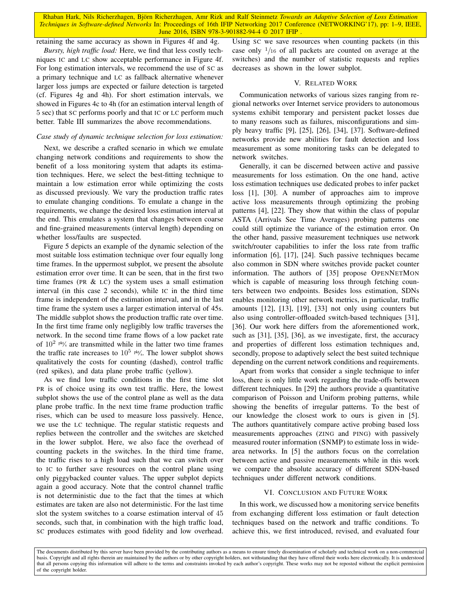retaining the same accuracy as shown in Figures 4f and 4g.

*Bursty, high traffic load:* Here, we find that less costly techniques IC and LC show acceptable performance in Figure 4f. For long estimation intervals, we recommend the use of SC as a primary technique and LC as fallback alternative whenever larger loss jumps are expected or failure detection is targeted (cf. Figures 4g and 4h). For short estimation intervals, we showed in Figures 4c to 4h (for an estimation interval length of 5 sec) that SC performs poorly and that IC or LC perform much better. Table III summarizes the above recommendations.

# *Case study of dynamic technique selection for loss estimation:*

Next, we describe a crafted scenario in which we emulate changing network conditions and requirements to show the benefit of a loss monitoring system that adapts its estimation techniques. Here, we select the best-fitting technique to maintain a low estimation error while optimizing the costs as discussed previously. We vary the production traffic rates to emulate changing conditions. To emulate a change in the requirements, we change the desired loss estimation interval at the end. This emulates a system that changes between coarse and fine-grained measurements (interval length) depending on whether loss/faults are suspected.

Figure 5 depicts an example of the dynamic selection of the most suitable loss estimation technique over four equally long time frames. In the uppermost subplot, we present the absolute estimation error over time. It can be seen, that in the first two time frames (PR  $& LC$ ) the system uses a small estimation interval (in this case 2 seconds), while IC in the third time frame is independent of the estimation interval, and in the last time frame the system uses a larger estimation interval of 45s. The middle subplot shows the production traffic rate over time. In the first time frame only negligibly low traffic traverses the network. In the second time frame flows of a low packet rate of  $10^{2}$  <sup>pkt</sup>/<sub>s</sub> are transmitted while in the latter two time frames the traffic rate increases to  $10^{5}$  <sup>pkt</sup>/s. The lower subplot shows qualitatively the costs for counting (dashed), control traffic (red spikes), and data plane probe traffic (yellow).

As we find low traffic conditions in the first time slot PR is of choice using its own test traffic. Here, the lowest subplot shows the use of the control plane as well as the data plane probe traffic. In the next time frame production traffic rises, which can be used to measure loss passively. Hence, we use the LC technique. The regular statistic requests and replies between the controller and the switches are sketched in the lower subplot. Here, we also face the overhead of counting packets in the switches. In the third time frame, the traffic rises to a high load such that we can switch over to IC to further save resources on the control plane using only piggybacked counter values. The upper subplot depicts again a good accuracy. Note that the control channel traffic is not deterministic due to the fact that the times at which estimates are taken are also not deterministic. For the last time slot the system switches to a coarse estimation interval of 45 seconds, such that, in combination with the high traffic load, SC produces estimates with good fidelity and low overhead.

Using SC we save resources when counting packets (in this case only  $\frac{1}{16}$  of all packets are counted on average at the switches) and the number of statistic requests and replies decreases as shown in the lower subplot.

## V. RELATED WORK

Communication networks of various sizes ranging from regional networks over Internet service providers to autonomous systems exhibit temporary and persistent packet losses due to many reasons such as failures, misconfigurations and simply heavy traffic [9], [25], [26], [34], [37]. Software-defined networks provide new abilities for fault detection and loss measurement as some monitoring tasks can be delegated to network switches.

Generally, it can be discerned between active and passive measurements for loss estimation. On the one hand, active loss estimation techniques use dedicated probes to infer packet loss [1], [30]. A number of approaches aim to improve active loss measurements through optimizing the probing patterns [4], [22]. They show that within the class of popular ASTA (Arrivals See Time Averages) probing patterns one could still optimize the variance of the estimation error. On the other hand, passive measurement techniques use network switch/router capabilities to infer the loss rate from traffic information [6], [17], [24]. Such passive techniques became also common in SDN where switches provide packet counter information. The authors of [35] propose OPENNETMON which is capable of measuring loss through fetching counters between two endpoints. Besides loss estimation, SDNs enables monitoring other network metrics, in particular, traffic amounts [12], [13], [19], [33] not only using counters but also using controller-offloaded switch-based techniques [31], [36]. Our work here differs from the aforementioned work, such as [31], [35], [36], as we investigate, first, the accuracy and properties of different loss estimation techniques and, secondly, propose to adaptively select the best suited technique depending on the current network conditions and requirements.

Apart from works that consider a single technique to infer loss, there is only little work regarding the trade-offs between different techniques. In [29] the authors provide a quantitative comparison of Poisson and Uniform probing patterns, while showing the benefits of irregular patterns. To the best of our knowledge the closest work to ours is given in [5]. The authors quantitatively compare active probing based loss measurements approaches (ZING and PING) with passively measured router information (SNMP) to estimate loss in widearea networks. In [5] the authors focus on the correlation between active and passive measurements while in this work we compare the absolute accuracy of different SDN-based techniques under different network conditions.

## VI. CONCLUSION AND FUTURE WORK

In this work, we discussed how a monitoring service benefits from exchanging different loss estimation or fault detection techniques based on the network and traffic conditions. To achieve this, we first introduced, revised, and evaluated four